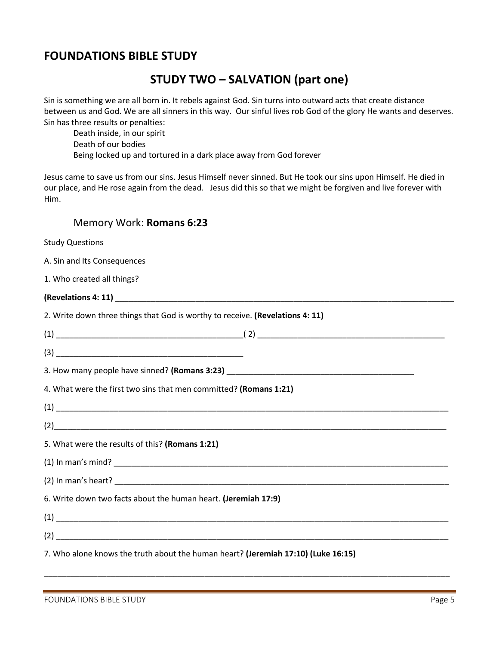## **FOUNDATIONS BIBLE STUDY**

## **STUDY TWO – SALVATION (part one)**

Sin is something we are all born in. It rebels against God. Sin turns into outward acts that create distance between us and God. We are all sinners in this way. Our sinful lives rob God of the glory He wants and deserves. Sin has three results or penalties:

Death inside, in our spirit Death of our bodies Being locked up and tortured in a dark place away from God forever

Jesus came to save us from our sins. Jesus Himself never sinned. But He took our sins upon Himself. He died in our place, and He rose again from the dead. Jesus did this so that we might be forgiven and live forever with Him.

## Memory Work: **Romans 6:23**

| <b>Study Questions</b>                                                            |
|-----------------------------------------------------------------------------------|
| A. Sin and Its Consequences                                                       |
| 1. Who created all things?                                                        |
|                                                                                   |
| 2. Write down three things that God is worthy to receive. (Revelations 4: 11)     |
|                                                                                   |
|                                                                                   |
|                                                                                   |
| 4. What were the first two sins that men committed? (Romans 1:21)                 |
|                                                                                   |
|                                                                                   |
| 5. What were the results of this? (Romans 1:21)                                   |
|                                                                                   |
|                                                                                   |
| 6. Write down two facts about the human heart. (Jeremiah 17:9)                    |
|                                                                                   |
|                                                                                   |
| 7. Who alone knows the truth about the human heart? (Jeremiah 17:10) (Luke 16:15) |

\_\_\_\_\_\_\_\_\_\_\_\_\_\_\_\_\_\_\_\_\_\_\_\_\_\_\_\_\_\_\_\_\_\_\_\_\_\_\_\_\_\_\_\_\_\_\_\_\_\_\_\_\_\_\_\_\_\_\_\_\_\_\_\_\_\_\_\_\_\_\_\_\_\_\_\_\_\_\_\_\_\_\_\_\_\_\_\_\_\_\_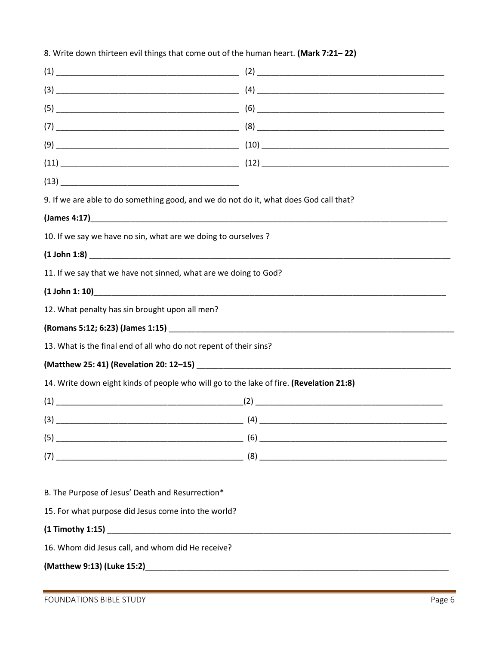| 9. If we are able to do something good, and we do not do it, what does God call that?                                                                                                                                              |  |  |
|------------------------------------------------------------------------------------------------------------------------------------------------------------------------------------------------------------------------------------|--|--|
| (James 4:17) <b>And All 2019 Contract Contract Contract Contract Contract Contract Contract Contract Contract Contract Contract Contract Contract Contract Contract Contract Contract Contract Contract Contract Contract Cont</b> |  |  |
| 10. If we say we have no sin, what are we doing to ourselves ?                                                                                                                                                                     |  |  |
|                                                                                                                                                                                                                                    |  |  |
| 11. If we say that we have not sinned, what are we doing to God?                                                                                                                                                                   |  |  |
|                                                                                                                                                                                                                                    |  |  |
| 12. What penalty has sin brought upon all men?                                                                                                                                                                                     |  |  |
|                                                                                                                                                                                                                                    |  |  |
| 13. What is the final end of all who do not repent of their sins?                                                                                                                                                                  |  |  |
| (Matthew 25: 41) (Revelation 20: 12-15)<br>Superior Section 20: 12-15)                                                                                                                                                             |  |  |
| 14. Write down eight kinds of people who will go to the lake of fire. (Revelation 21:8)                                                                                                                                            |  |  |
|                                                                                                                                                                                                                                    |  |  |
|                                                                                                                                                                                                                                    |  |  |
|                                                                                                                                                                                                                                    |  |  |
|                                                                                                                                                                                                                                    |  |  |
|                                                                                                                                                                                                                                    |  |  |
| B. The Purpose of Jesus' Death and Resurrection*                                                                                                                                                                                   |  |  |
| 15. For what purpose did Jesus come into the world?                                                                                                                                                                                |  |  |
|                                                                                                                                                                                                                                    |  |  |
| 16. Whom did Jesus call, and whom did He receive?                                                                                                                                                                                  |  |  |
|                                                                                                                                                                                                                                    |  |  |
|                                                                                                                                                                                                                                    |  |  |

8. Write down thirteen evil things that come out of the human heart. (Mark 7:21-22)